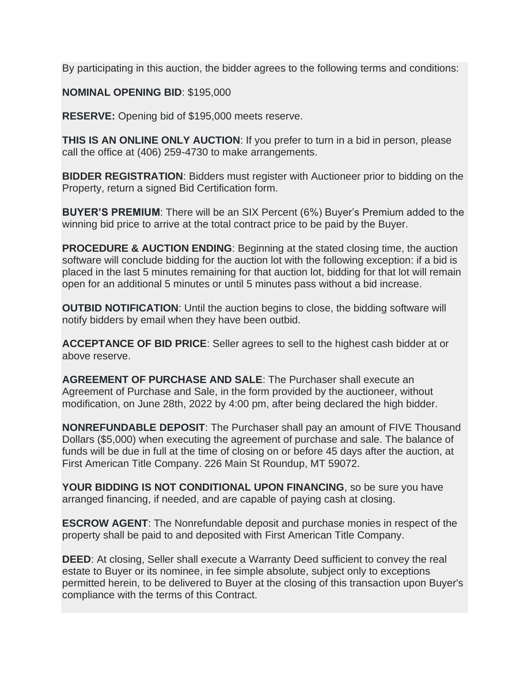By participating in this auction, the bidder agrees to the following terms and conditions:

**NOMINAL OPENING BID**: \$195,000

**RESERVE:** Opening bid of \$195,000 meets reserve.

**THIS IS AN ONLINE ONLY AUCTION**: If you prefer to turn in a bid in person, please call the office at (406) 259-4730 to make arrangements.

**BIDDER REGISTRATION**: Bidders must register with Auctioneer prior to bidding on the Property, return a signed Bid Certification form.

**BUYER'S PREMIUM**: There will be an SIX Percent (6%) Buyer's Premium added to the winning bid price to arrive at the total contract price to be paid by the Buyer.

**PROCEDURE & AUCTION ENDING**: Beginning at the stated closing time, the auction software will conclude bidding for the auction lot with the following exception: if a bid is placed in the last 5 minutes remaining for that auction lot, bidding for that lot will remain open for an additional 5 minutes or until 5 minutes pass without a bid increase.

**OUTBID NOTIFICATION**: Until the auction begins to close, the bidding software will notify bidders by email when they have been outbid.

**ACCEPTANCE OF BID PRICE**: Seller agrees to sell to the highest cash bidder at or above reserve.

**AGREEMENT OF PURCHASE AND SALE**: The Purchaser shall execute an Agreement of Purchase and Sale, in the form provided by the auctioneer, without modification, on June 28th, 2022 by 4:00 pm, after being declared the high bidder.

**NONREFUNDABLE DEPOSIT**: The Purchaser shall pay an amount of FIVE Thousand Dollars (\$5,000) when executing the agreement of purchase and sale. The balance of funds will be due in full at the time of closing on or before 45 days after the auction, at First American Title Company. 226 Main St Roundup, MT 59072.

**YOUR BIDDING IS NOT CONDITIONAL UPON FINANCING**, so be sure you have arranged financing, if needed, and are capable of paying cash at closing.

**ESCROW AGENT**: The Nonrefundable deposit and purchase monies in respect of the property shall be paid to and deposited with First American Title Company.

**DEED**: At closing, Seller shall execute a Warranty Deed sufficient to convey the real estate to Buyer or its nominee, in fee simple absolute, subject only to exceptions permitted herein, to be delivered to Buyer at the closing of this transaction upon Buyer's compliance with the terms of this Contract.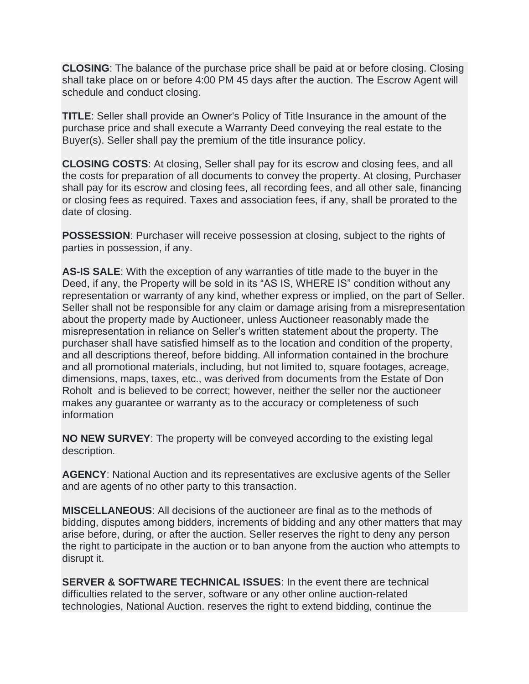**CLOSING**: The balance of the purchase price shall be paid at or before closing. Closing shall take place on or before 4:00 PM 45 days after the auction. The Escrow Agent will schedule and conduct closing.

**TITLE**: Seller shall provide an Owner's Policy of Title Insurance in the amount of the purchase price and shall execute a Warranty Deed conveying the real estate to the Buyer(s). Seller shall pay the premium of the title insurance policy.

**CLOSING COSTS**: At closing, Seller shall pay for its escrow and closing fees, and all the costs for preparation of all documents to convey the property. At closing, Purchaser shall pay for its escrow and closing fees, all recording fees, and all other sale, financing or closing fees as required. Taxes and association fees, if any, shall be prorated to the date of closing.

**POSSESSION**: Purchaser will receive possession at closing, subject to the rights of parties in possession, if any.

**AS-IS SALE**: With the exception of any warranties of title made to the buyer in the Deed, if any, the Property will be sold in its "AS IS, WHERE IS" condition without any representation or warranty of any kind, whether express or implied, on the part of Seller. Seller shall not be responsible for any claim or damage arising from a misrepresentation about the property made by Auctioneer, unless Auctioneer reasonably made the misrepresentation in reliance on Seller's written statement about the property. The purchaser shall have satisfied himself as to the location and condition of the property, and all descriptions thereof, before bidding. All information contained in the brochure and all promotional materials, including, but not limited to, square footages, acreage, dimensions, maps, taxes, etc., was derived from documents from the Estate of Don Roholt and is believed to be correct; however, neither the seller nor the auctioneer makes any guarantee or warranty as to the accuracy or completeness of such information

**NO NEW SURVEY**: The property will be conveyed according to the existing legal description.

**AGENCY**: National Auction and its representatives are exclusive agents of the Seller and are agents of no other party to this transaction.

**MISCELLANEOUS**: All decisions of the auctioneer are final as to the methods of bidding, disputes among bidders, increments of bidding and any other matters that may arise before, during, or after the auction. Seller reserves the right to deny any person the right to participate in the auction or to ban anyone from the auction who attempts to disrupt it.

**SERVER & SOFTWARE TECHNICAL ISSUES**: In the event there are technical difficulties related to the server, software or any other online auction-related technologies, National Auction. reserves the right to extend bidding, continue the